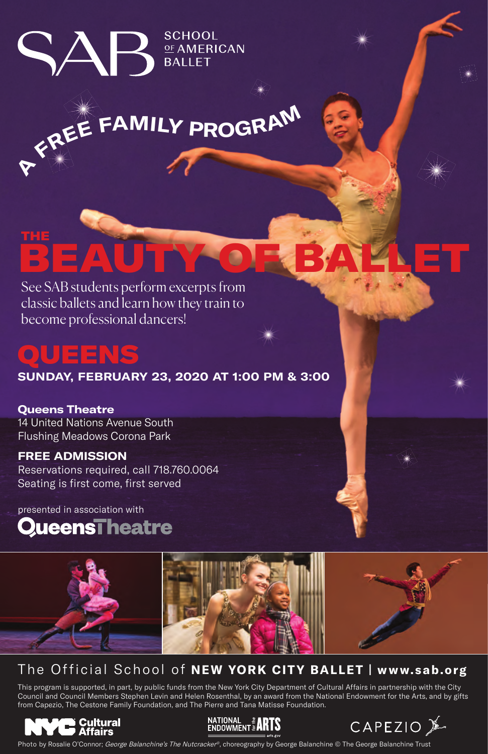**SCHOOL** <u>OF</u> AMERICAN<br>BALLET

# **<sup>F</sup>RE<sup>E</sup> <sup>F</sup>AMIL<sup>Y</sup> <sup>P</sup>ROGRA<sup>M</sup>**

## See SAB students perform excerpts from [BEAUTY OF BALLET](https://www.sab.org/beautyofballet) THE

classic ballets and learn how they train to become professional dancers!

 $\Delta \mathsf{P}$ 

# QUEENS

**A**

**SUNDAY, FEBRUARY 23, 2020 AT 1:00 PM & 3:00**

**Queens Theatre** 14 United Nations Avenue South Flushing Meadows Corona Park

#### **FREE ADMISSION**

Reservations required, call 718.760.0064 Seating is first come, first served

presented in association with





## The Official School of **NEW YORK CITY BALLET | www.sab.org**

This program is supported, in part, by public funds from the New York City Department of Cultural Affairs in partnership with the City Council and Council Members Stephen Levin and Helen Rosenthal, by an award from the National Endowment for the Arts, and by gifts from Capezio, The Cestone Family Foundation, and The Pierre and Tana Matisse Foundation.







Photo by Rosalie O'Connor; George Balanchine's The Nutcracker®, choreography by George Balanchine © The George Balanchine Trust